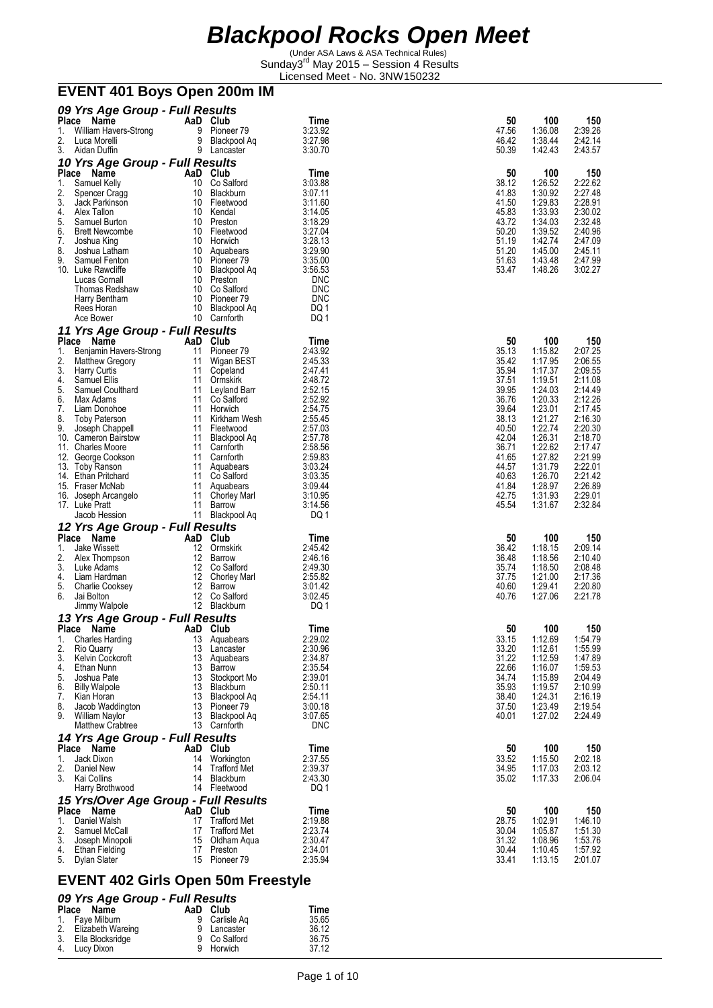(Under ASA Laws & ASA Technical Rules) Sunday3<sup>rd</sup> May 2015 - Session 4 Results Licensed Meet - No. 3NW150232 **EVENT 401 Boys Open 200m IM** 

| 09 Yrs Age Group - Full Results                     |                  |                                   |                    |                |                    |                    |
|-----------------------------------------------------|------------------|-----------------------------------|--------------------|----------------|--------------------|--------------------|
| <b>Place</b><br>Name<br>William Havers-Strong<br>1. | 9                | AaD Club<br>Pioneer <sub>79</sub> | Time<br>3:23.92    | 50<br>47.56    | 100<br>1:36.08     | 150<br>2:39.26     |
| 2.<br>Luca Morelli                                  | 9                | Blackpool Aq                      | 3:27.98            | 46.42          | 1:38.44            | 2:42.14            |
| 3.<br>Aidan Duffin                                  |                  | 9 Lancaster                       | 3:30.70            | 50.39          | 1:42.43            | 2:43.57            |
| 10 Yrs Age Group - Full Results                     |                  |                                   |                    |                |                    |                    |
| Place<br>Name<br>1.<br>Samuel Kelly                 | 10               | AaD Club<br>Co Salford            | Time<br>3:03.88    | 50<br>38.12    | 100<br>1:26.52     | 150<br>2:22.62     |
| 2.<br>Spencer Cragg                                 | 10               | Blackburn                         | 3:07.11            | 41.83          | 1:30.92            | 2:27.48            |
| 3.<br>Jack Parkinson                                | 10               | Fleetwood                         | 3:11.60            | 41.50          | 1:29.83            | 2:28.91            |
| 4.<br>Alex Tallon                                   | 10               | Kendal                            | 3:14.05            | 45.83          | 1:33.93            | 2:30.02            |
| 5.<br>Samuel Burton<br>6.<br><b>Brett Newcombe</b>  | 10               | Preston<br>10 Fleetwood           | 3:18.29<br>3.27.04 | 43.72<br>50.20 | 1:34.03<br>1:39.52 | 2:32.48<br>2:40.96 |
| 7.<br>Joshua King                                   |                  | 10 Horwich                        | 3:28.13            | 51.19          | 1:42.74            | 2:47.09            |
| 8.<br>Joshua Latham                                 |                  | 10 Aquabears                      | 3:29.90            | 51.20          | 1:45.00            | 2:45.11            |
| 9.<br>Samuel Fenton<br>10. Luke Rawcliffe           |                  | 10 Pioneer 79<br>10 Blackpool Aq  | 3:35.00<br>3:56.53 | 51.63<br>53.47 | 1:43.48<br>1:48.26 | 2:47.99<br>3:02.27 |
| Lucas Gornall                                       | 10               | Preston                           | <b>DNC</b>         |                |                    |                    |
| Thomas Redshaw                                      |                  | 10 Co Salford                     | <b>DNC</b>         |                |                    |                    |
| Harry Bentham                                       |                  | 10 Pioneer 79                     | <b>DNC</b>         |                |                    |                    |
| Rees Horan<br>Ace Bower                             | 10<br>10         | Blackpool Aq<br>Carnforth         | DQ 1<br>DQ 1       |                |                    |                    |
| 11 Yrs Age Group - Full Results                     |                  |                                   |                    |                |                    |                    |
| Place Name                                          |                  | AaD Club                          | Time               | 50             | 100                | 150                |
| 1.<br>Benjamin Havers-Strong                        | 11               | Pioneer <sub>79</sub>             | 2:43.92            | 35.13          | 1:15.82            | 2:07.25            |
| 2.<br><b>Matthew Gregory</b><br>3.                  | 11<br>11         | Wigan BEST                        | 2:45.33            | 35.42<br>35.94 | 1:17.95            | 2:06.55            |
| <b>Harry Curtis</b><br>4.<br>Samuel Ellis           | 11               | Copeland<br>Ormskirk              | 2:47.41<br>2:48.72 | 37.51          | 1:17.37<br>1:19.51 | 2:09.55<br>2:11.08 |
| 5.<br>Samuel Coulthard                              | 11               | Leyland Barr                      | 2:52.15            | 39.95          | 1:24.03            | 2:14.49            |
| 6.<br>Max Adams                                     | 11               | Co Salford                        | 2:52.92            | 36.76          | 1:20.33            | 2:12.26            |
| 7.<br>Liam Donohoe<br>8.<br><b>Toby Paterson</b>    | 11<br>11         | Horwich<br>Kirkham Wesh           | 2:54.75<br>2:55.45 | 39.64<br>38.13 | 1:23.01<br>1:21.27 | 2:17.45<br>2:16.30 |
| 9.<br>Joseph Chappell                               | 11               | Fleetwood                         | 2:57.03            | 40.50          | 1:22.74            | 2:20.30            |
| 10. Cameron Bairstow                                | 11               | Blackpool Aq                      | 2:57.78            | 42.04          | 1:26.31            | 2:18.70            |
| 11. Charles Moore                                   | 11               | Carnforth                         | 2:58.56            | 36.71<br>41.65 | 1:22.62            | 2:17.47            |
| 12. George Cookson<br>13. Toby Ranson               |                  | 11 Carnforth<br>11 Aquabears      | 2:59.83<br>3:03.24 | 44.57          | 1:27.82<br>1:31.79 | 2:21.99<br>2:22.01 |
| 14. Ethan Pritchard                                 |                  | 11 Co Salford                     | 3:03.35            | 40.63          | 1:26.70            | 2:21.42            |
| 15. Fraser McNab                                    |                  | 11 Aquabears                      | 3:09.44            | 41.84          | 1.28.97            | 2:26.89            |
| 16. Joseph Arcangelo<br>17. Luke Pratt              | 11<br>11         | Chorley Marl<br>Barrow            | 3:10.95<br>3:14.56 | 42.75<br>45.54 | 1:31.93<br>1:31.67 | 2:29.01<br>2:32.84 |
| Jacob Hession                                       |                  | 11 Blackpool Aq                   | DQ 1               |                |                    |                    |
| 12 Yrs Age Group - Full Results                     |                  |                                   |                    |                |                    |                    |
| Place Name                                          |                  | AaD Club                          | Time               | 50             | 100                | 150                |
| <b>Jake Wissett</b><br>1.                           | 12 <sup>12</sup> | Ormskirk                          | 2:45.42            | 36.42          | 1:18.15            | 2:09.14            |
| 2.<br>Alex Thompson<br>3.<br>Luke Adams             | 12               | 12 Barrow<br>Co Salford           | 2:46.16<br>2:49.30 | 36.48<br>35.74 | 1:18.56<br>1:18.50 | 2:10.40<br>2:08.48 |
| 4.<br>Liam Hardman                                  |                  | 12 Chorley Marl                   | 2:55.82            | 37.75          | 1:21.00            | 2:17.36            |
| 5.<br><b>Charlie Cooksey</b>                        |                  | 12 Barrow                         | 3:01.42            | 40.60          | 1:29.41            | 2:20.80            |
| 6.<br>Jai Bolton                                    | 12               | Co Salford<br>12 Blackburn        | 3:02.45<br>DQ 1    | 40.76          | 1:27.06            | 2:21.78            |
| Jimmy Walpole<br>13 Yrs Age Group - Full Results    |                  |                                   |                    |                |                    |                    |
| Place Name                                          |                  | AaD Club                          | Time               | 50             | 100                | 150                |
| <b>Charles Harding</b><br>1.                        |                  | 13 Aquabears                      | 2:29.02            | 33.15          | 1:12.69            | 1:54.79            |
| 2.<br>Rio Quarry                                    |                  | 13 Lancaster                      | 2:30.96            | 33.20<br>31.22 | 1:12.61            | 1:55.99            |
| 3.<br>Kelvin Cockcroft<br>4.<br>Ethan Nunn          | 13               | 13 Aquabears<br>Barrow            | 2:34.87<br>2:35.54 | 22.66          | 1:12.59<br>1:16.07 | 1:47.89<br>1:59.53 |
| 5.<br>Joshua Pate                                   |                  | 13 Stockport Mo                   | 2:39.01            | 34.74          | 1:15.89            | 2:04.49            |
| 6.<br><b>Billy Walpole</b>                          |                  | 13 Blackburn                      | 2:50.11            | 35.93          | 1:19.57            | 2:10.99<br>2:16.19 |
| 7.<br>Kian Horan<br>8.<br>Jacob Waddington          |                  | 13 Blackpool Aq<br>13 Pioneer 79  | 2:54.11<br>3:00.18 | 38.40<br>37.50 | 1:24.31<br>1:23.49 | 2:19.54            |
| 9.<br>William Naylor                                |                  | 13 Blackpool Aq                   | 3:07.65            | 40.01          | 1:27.02            | 2:24.49            |
| Matthew Crabtree                                    |                  | 13 Carnforth                      | <b>DNC</b>         |                |                    |                    |
| 14 Yrs Age Group - Full Results                     |                  |                                   |                    |                |                    |                    |
| Place Name<br>Jack Dixon                            |                  | AaD Club                          | Time               | 50             | 100                | 150                |
| 1.<br>2.<br>Daniel New                              | 14               | 14 Workington<br>Trafford Met     | 2:37.55<br>2:39.37 | 33.52<br>34.95 | 1:15.50<br>1:17.03 | 2:02.18<br>2:03.12 |
| 3.<br>Kai Collins                                   | 14               | Blackburn                         | 2:43.30            | 35.02          | 1:17.33            | 2:06.04            |
| Harry Brothwood                                     |                  | 14 Fleetwood                      | DQ 1               |                |                    |                    |
| 15 Yrs/Over Age Group - Full Results                |                  |                                   |                    |                |                    |                    |
| Place Name<br>Daniel Walsh<br>1.                    |                  | AaD Club<br>17 Trafford Met       | Time<br>2:19.88    | 50<br>28.75    | 100<br>1:02.91     | 150<br>1:46.10     |
| 2.<br>Samuel McCall                                 |                  | 17 Trafford Met                   | 2:23.74            | 30.04          | 1:05.87            | 1:51.30            |
| 3.<br>Joseph Minopoli                               | 15               | Oldham Aqua                       | 2:30.47            | 31.32          | 1:08.96            | 1:53.76            |
| 4.<br>Ethan Fielding<br>5.<br>Dylan Slater          |                  | 17 Preston<br>15 Pioneer 79       | 2:34.01<br>2:35.94 | 30.44<br>33.41 | 1:10.45<br>1:13.15 | 1:57.92<br>2:01.07 |
|                                                     |                  |                                   |                    |                |                    |                    |

#### **EVENT 402 Girls Open 50m Freestyle**

#### *09 Yrs Age Group - Full Results*

| Place Name           | AaD Club      | Time  |
|----------------------|---------------|-------|
| 1. Faye Milburn      | 9 Carlisle Ag | 35.65 |
| 2. Elizabeth Wareing | 9 Lancaster   | 36.12 |
| 3. Ella Blocksridge  | 9 Co Salford  | 36.75 |
| 4. Lucy Dixon        | 9 Horwich     | 37.12 |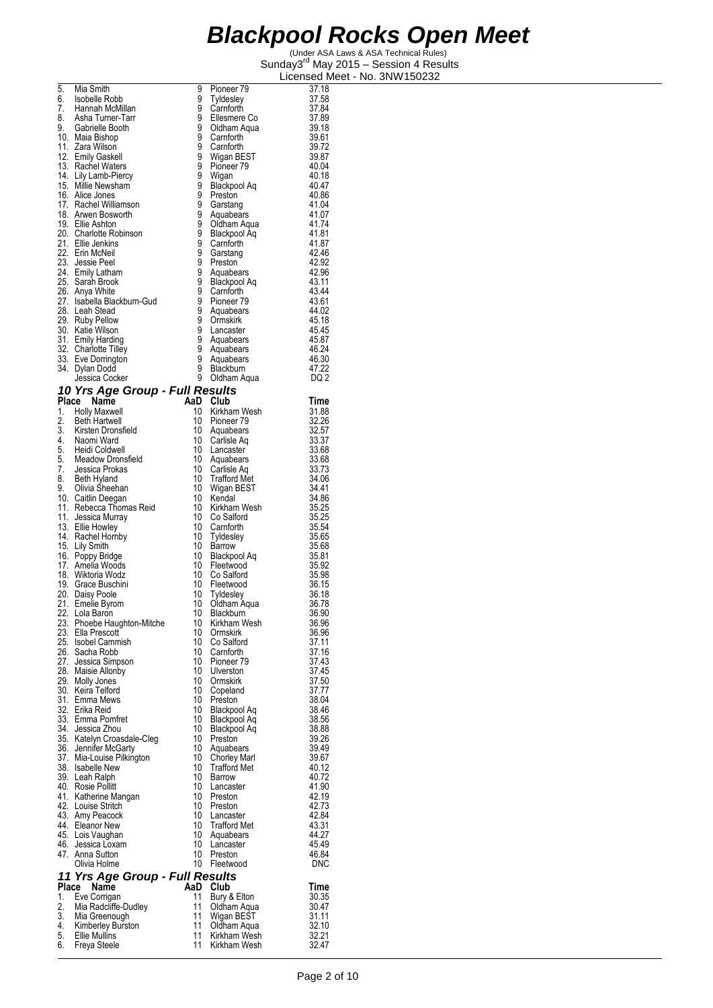| 5.       | Mia Smith                                                      | 9                     | Pioneer 79                                 | 37.18               |
|----------|----------------------------------------------------------------|-----------------------|--------------------------------------------|---------------------|
| 6.<br>7. | Isobelle Robb<br>Hannah McMillan                               | 9<br>9                | Tyldesley<br>Carnforth                     | 37.58<br>37.84      |
| 8.       | Asha Turner-Tarr                                               | 9                     | Ellesmere Co                               | 37.89               |
|          | 9. Gabrielle Booth                                             | 9                     | Oldham Aqua                                | 39.18               |
|          | 10. Maia Bishop<br>11. Zara Wilson                             | 9<br>9                | Carnforth<br>Carnforth                     | 39.61<br>39.72      |
|          | 12. Emily Gaskell                                              | 9<br>9                | Wigan BEST                                 | 39.87               |
|          | 13. Rachel Waters                                              | $\overline{9}$        | Pioneer <sub>79</sub>                      | 40.04               |
|          | 14. Lily Lamb-Piercy<br>15. Millie Newsham                     | 9                     | Wigan<br>Blackpool Aq                      | 40.18<br>40.47      |
|          | 16. Alice Jones                                                | ġ                     | Preston                                    | 40.86               |
|          | 17. Rachel Williamson<br>18. Arwen Bosworth                    | 9<br>9                | Garstang<br>Aquabears                      | 41.04<br>41.07      |
|          | 19. Ellie Ashton                                               | $\frac{9}{9}$         | Oldham Aqua                                | 41.74               |
|          | 20. Charlotte Robinson                                         |                       | Blackpool Aq                               | 41.81               |
|          | 21. Ellie Jenkins<br>22. Erin McNeil                           | 9<br>ğ                | Carnforth<br>Garstang                      | 41.87<br>42.46      |
|          | 23. Jessie Peel                                                | 9                     | Preston                                    | 42.92               |
|          | 24. Emily Latham<br>25. Sarah Brook                            | 9<br>$\frac{3}{9}$    | Aquabears                                  | 42.96<br>43.11      |
|          | 26. Anya White                                                 | 9                     | Blackpool Aq<br>Carnforth                  | 43.44               |
|          | 27. Isabella Blackburn-Gud                                     | 9                     | Pioneer 79                                 | 43.61               |
|          | 28. Leah Stead<br>29. Ruby Pellow                              | 9<br>9                | Aquabears<br>Ormskirk                      | 44.02<br>45.18      |
|          | 30. Katie Wilson                                               | 9<br>9                | Lancaster                                  | 45.45               |
|          | 31. Emily Harding                                              | 9                     | Aquabears                                  | 45.87               |
|          | 32. Charlotte Tilley<br>33. Eve Dorrington                     | ğ                     | Aquabears<br>Aquabears                     | 46.24<br>46.30      |
|          | 34. Dylan Dodd                                                 | 9                     | Blackburn                                  | 47.22               |
|          | Jessica Cocker                                                 | 9                     | Oldham Aqua                                | DQ 2                |
| Place    | 10 Yrs Age Group - Full Results<br>Name                        | AaD                   | Club                                       | Time                |
| 1.       | <b>Holly Maxwell</b>                                           | 10                    | Kirkham Wesh                               | 31.88               |
|          | 2. Beth Hartwell                                               | 10<br>10              | Pioneer 79                                 | 32.26               |
|          | 3. Kirsten Dronsfield<br>4. Naomi Ward                         | 10                    | Aquabears<br>Carlisle Aq                   | 32.57<br>33.37      |
|          |                                                                | 10                    | Lancaster                                  | 33.68               |
|          | 5. Heidi Coldwell<br>5. Meadow Dronsfield<br>7. Jessica Prokas | 10<br>10 <sup>°</sup> | Aquabears<br>Carlisle Aq                   | 33.68<br>33.73      |
|          | 8. Beth Hyland<br>9. Olivia Sheehan                            | 10                    | Trafford Met                               | 34.06               |
|          |                                                                | 10<br>10              | Wigan BEST                                 | 34.41               |
|          | 10. Caitlin Deegan<br>11. Rebecca Thomas Reid                  | 10                    | Kendal<br>Kirkham Wesh                     | 34.86<br>35.25      |
|          | 11. Jessica Murray                                             | 10                    | Co Salford                                 | 35.25               |
|          | 13. Ellie Howley<br>14. Rachel Hornby                          | 10<br>10              | Carnforth<br>Tyldesley                     | 35.54<br>35.65      |
|          | 15. Lily Smith                                                 | 10                    | Barrow                                     | 35.68               |
|          | 16. Poppy Bridge<br>17. Amelia Woods                           | 10<br>10              | Blackpool Aq<br>Fleetwood                  | 35.81<br>35.92      |
|          | 18. Wiktoria Wodz                                              | 10                    | Co Salford                                 | 35.98               |
|          | 19. Grace Buschini                                             | 10                    | Fleetwood                                  | 36.15               |
|          | 20. Daisy Poole<br>21. Emelie Byrom                            | 10<br>10              | Tyldesley<br>Oldham Aqua                   | 36.18<br>36.78      |
|          | 22. Lola Baron                                                 | 10                    | Blackburn                                  | 36.90               |
| 23.      | Phoebe Haughton-Mitche<br>23. Ella Prescott                    | 10<br>10              | Kirkham Wesh<br>Ormskirk                   | 36.96<br>36.96      |
|          | 25. Isobel Cammish                                             | 10                    | Co Salford                                 | 37.11               |
|          | 26. Sacha Robb                                                 | 10                    | Carnforth                                  | 37.16               |
|          | 27. Jessica Simpson<br>28. Maisie Allonby                      | 10<br>10              | Pioneer 79<br>Ulverston                    | 37.43<br>37.45      |
|          | 29. Molly Jones                                                | 10                    | Ormskirk                                   | 37.50               |
|          | 30. Keira Telford<br>31. Emma Mews                             | 10<br>10              | Copeland<br>Preston                        | 37.77<br>38.04      |
|          | 32. Erika Reid                                                 | 10                    | Blackpool Aq                               | 38.46               |
|          | 33. Emma Pomfret<br>34. Jessica Zhou                           | 10<br>10              | Blackpool Aq                               | 38.56               |
|          | 35. Katelyn Croasdale-Cleg                                     | 10                    | Blackpool Aq<br>Preston                    | 38.88<br>39.26      |
|          | 36. Jennifer McGarty                                           | 10                    | Aquabears                                  | 39.49               |
|          | 37. Mia-Louise Pilkington<br>38. Isabelle New                  | 10<br>10              | <b>Chorley Marl</b><br><b>Trafford Met</b> | 39.67<br>40.12      |
|          | 39. Leah Ralph                                                 | 10                    | Barrow                                     | 40.72               |
|          | 40. Rosie Pollitt<br>41. Katherine Mangan                      | 10<br>10              | Lancaster<br>Preston                       | 41.90<br>42.19      |
|          | 42. Louise Stritch                                             | 10                    | Preston                                    | 42.73               |
|          | 43. Amy Peacock                                                | 10                    | Lancaster                                  | 42.84               |
|          | 44. Eleanor New<br>45. Lois Vaughan                            | 10<br>10              | <b>Trafford Met</b><br>Aquabears           | 43.31<br>44.27      |
|          | 46. Jessica Loxam                                              | 10                    | Lancaster                                  | 45.49               |
|          | 47. Anna Sutton<br>Olivia Holme                                | 10<br>10              | Preston<br>Fleetwood                       | 46.84<br><b>DNC</b> |
|          | 11 Yrs Age Group - Full Results                                |                       |                                            |                     |
|          | Place Name                                                     | AaD                   | Club                                       | Time                |
| 1.<br>2. | Eve Corrigan<br>Mia Radcliffe-Dudley                           | 11<br>11              | Bury & Elton<br>Oldham Aqua                | 30.35<br>30.47      |
| 3.       | Mia Greenough                                                  | 11                    | Wigan BEST                                 | 31.11               |
| 4.<br>5. | Kimberley Burston                                              | 11<br>11              | Oldham Aqua                                | 32.10               |
| 6.       | Ellie Mullins<br>Freya Steele                                  | 11                    | Kirkham Wesh<br>Kirkham Wesh               | 32.21<br>32.47      |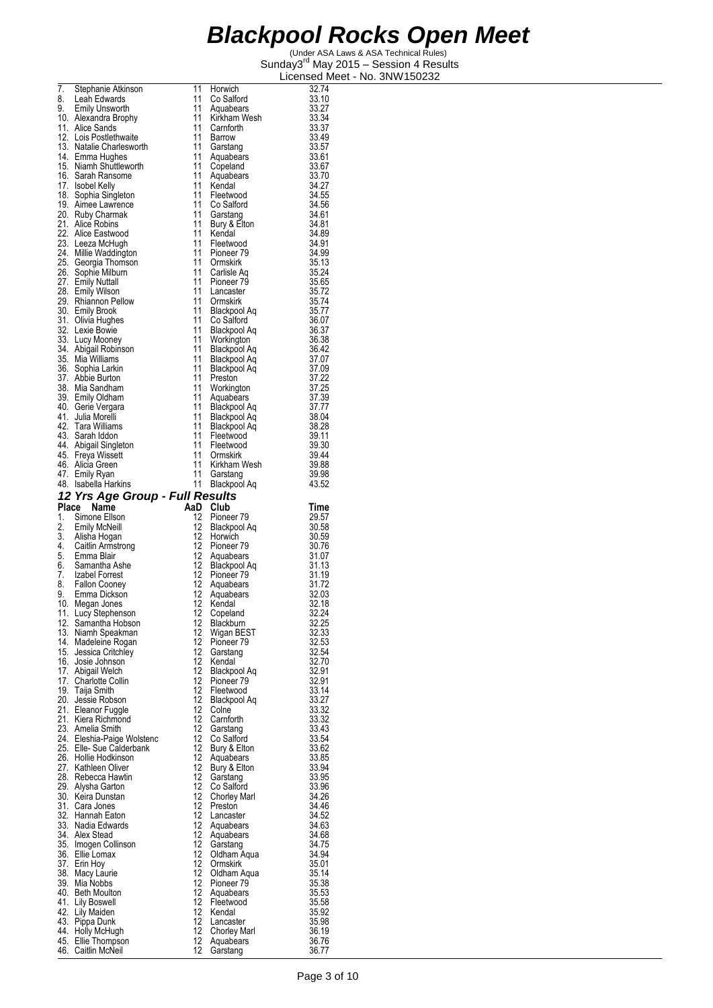| 7.       | Stephanie Atkinson                         | 11              | Horwich                          | 32.74          |
|----------|--------------------------------------------|-----------------|----------------------------------|----------------|
| 8.       | Leah Edwards                               | 11              | Co Salford                       | 33.10          |
| 9.       | Emily Unsworth                             | 11              | Aquabears                        | 33.27          |
|          | 10. Alexandra Brophy                       | 11              | Kirkham Wesh                     | 33.34          |
|          | 11. Alice Sands                            | 11              | Carnforth                        | 33.37          |
|          | 12. Lois Postlethwaite                     | 11              | Barrow                           | 33.49          |
|          | 13. Natalie Charlesworth                   | 11              | Garstang                         | 33.57          |
|          | 14. Emma Hughes                            | 11              | Aquabears                        | 33.61          |
|          | 15. Niamh Shuttleworth                     | 11              | Copeland                         | 33.67          |
|          | 16. Sarah Ransome                          | 11              | Aquabears                        | 33.70          |
|          | 17. Isobel Kelly                           | 11              | Kendal                           | 34.27          |
|          | 18. Sophia Singleton                       | 11              | Fleetwood                        | 34.55          |
|          | 19. Aimee Lawrence                         | 11              | Co Salford                       | 34.56          |
|          | 20. Ruby Charmak                           | 11              | Garstang                         | 34.61          |
|          | 21. Alice Robins<br>22. Alice Eastwood     | 11<br>11        | Bury & Elton<br>Kendal           | 34.81          |
|          |                                            | 11              | Fleetwood                        | 34.89<br>34.91 |
|          | 23. Leeza McHugh<br>24. Millie Waddington  | 11              | Pioneer 79                       | 34.99          |
|          | 25. Georgia Thomson                        | 11              | Ormskirk                         | 35.13          |
|          | 26. Sophie Milburn                         | 11              | Carlisle Aq                      | 35.24          |
|          | 27. Emily Nuttall                          | 11              | Pioneer 79                       | 35.65          |
|          | 28. Emily Wilson                           | 11              | Lancaster                        | 35.72          |
|          | 29. Rhiannon Pellow                        | 11              | Ormskirk                         | 35.74          |
|          | 30. Emily Brook                            | 11              | Blackpool Aq                     | 35.77          |
|          | 31. Olivia Hughes                          | 11              | Co Salford                       | 36.07          |
|          | 32. Lexie Bowie                            | 11              | Blackpool Aq                     | 36.37          |
|          | 33. Lucy Mooney                            | 11              | Workington                       | 36.38          |
|          | 34. Abigail Robinson                       | 11              | Blackpool Aq                     | 36.42          |
|          | 35. Mia Williams                           | 11              | Blackpool Aq                     | 37.07          |
|          | 36. Sophia Larkin                          | 11              | Blackpool Aq                     | 37.09          |
|          | 37. Abbie Burton                           | 11              | Preston                          | 37.22          |
|          | 38. Mia Sandham                            | 11              | Workington                       | 37.25          |
|          | 39. Emily Oldham                           | 11              | Aquabears                        | 37.39          |
|          | 40. Gerie Vergara                          | 11<br>11        | Blackpool Aq                     | 37.77          |
|          | 41. Julia Morelli<br>42. Tara Williams     | 11              | Blackpool Aq                     | 38.04<br>38.28 |
|          | 43. Sarah Iddon                            | 11              | Blackpool Aq<br>Fleetwood        | 39.11          |
|          | 44. Abigail Singleton                      | 11              | Fleetwood                        | 39.30          |
|          | 45. Freya Wissett                          | 11              | Ormskirk                         | 39.44          |
|          | 46. Alicia Green                           | 11              | Kirkham Wesh                     | 39.88          |
|          | 47. Emily Ryan                             | 11              | Garstang                         | 39.98          |
|          | 48. Isabella Harkins                       | 11              | Blackpool Aq                     | 43.52          |
|          | 12 Yrs Age Group - Full Results            |                 |                                  |                |
| Place    | Name                                       |                 | AaD Club                         | Time           |
|          |                                            |                 |                                  |                |
|          |                                            | 12              |                                  |                |
| 1.<br>2. | Simone Ellson<br><b>Emily McNeill</b>      | 12              | Pioneer 79<br>Blackpool Aq       | 29.57<br>30.58 |
|          |                                            | 12              | Horwich                          | 30.59          |
|          | 3. Alisha Hogan<br>4. Caitlin Armstrong    |                 | 12 Pioneer 79                    | 30.76          |
|          | 5. Emma Blair                              | 12              | Aquabears                        | 31.07          |
|          | 6. Samantha Ashe                           |                 | 12 Blackpool Aq                  | 31.13          |
|          | 7. Izabel Forrest                          |                 | 12 Pioneer 79                    | 31.19          |
| 8.       | <b>Fallon Cooney</b>                       | 12              | Aquabears                        | 31.72          |
| 9.       | Emma Dickson                               | 12              | Aquabears                        | 32.03          |
|          | 10. Megan Jones                            | 12              | Kendal                           | 32.18          |
| 11.      | Lucy Stephenson                            | 12              | Copeland                         | 32.24          |
| 12.      | Samantha Hobson                            | 12              | Blackburn                        | 32.25          |
|          | 13. Niamh Speakman                         | 12              | Wigan BEST                       | 32.33          |
| 14.      | Madeleine Rogan                            | 12              | Pioneer 79                       | 32.53          |
|          | 15. Jessica Critchley<br>16. Josie Johnson | 12              | Garstang                         | 32.54          |
|          |                                            | 12<br>12        | Kendal                           | 32.70          |
|          | 17. Abigail Welch<br>17. Charlotte Collin  | 12              | Blackpool Aq<br>Pioneer 79       | 32.91<br>32.91 |
|          | 19. Taija Smith                            | 12              | Fleetwood                        | 33.14          |
|          | 20. Jessie Robson                          | 12              | Blackpool Aq                     | 33.27          |
|          | 21. Eleanor Fuggle                         | 12              | Colne                            | 33.32          |
|          | 21. Kiera Richmond                         | 12              | Carnforth                        | 33.32          |
|          | 23. Amelia Smith                           | 12              | Garstang                         | 33.43          |
|          | 24. Eleshia-Paige Wolstenc                 | 12              | Co Salford                       | 33.54          |
|          | 25. Elle-Sue Calderbank                    | 12              | Bury & Elton                     | 33.62          |
|          | 26. Hollie Hodkinson                       | 12              | Aquabears                        | 33.85          |
|          | 27. Kathleen Oliver                        | 12              | Bury & Elton                     | 33.94          |
|          | 28. Rebecca Hawtin                         | 12              | Garstang                         | 33.95          |
|          | 29. Alysha Garton                          | 12              | Co Salford                       | 33.96          |
|          | 30. Keira Dunstan                          | 12              | Chorley Marl                     | 34.26          |
|          | 31. Cara Jones                             | 12              | Preston                          | 34.46          |
|          | 32. Hannah Eaton<br>33. Nadia Edwards      | 12<br>12        | Lancaster<br>Aquabears           | 34.52<br>34.63 |
|          | 34. Alex Stead                             | 12              | Aquabears                        | 34.68          |
|          | 35. Imogen Collinson                       | 12              | Garstang                         | 34.75          |
|          | 36. Ellie Lomax                            | 12              | Oldham Aqua                      | 34.94          |
|          | 37. Erin Hoy                               | 12              | Ormskirk                         | 35.01          |
|          | 38. Macy Laurie                            | 12              | Oldham Aqua                      | 35.14          |
|          | 39. Mia Nobbs                              | 12 <sup>°</sup> | Pioneer 79                       | 35.38          |
|          | 40. Beth Moulton                           | 12              | Aquabears                        | 35.53          |
|          | 41. Lily Boswell                           | 12              | Fleetwood                        | 35.58          |
|          | 42. Lily Maiden                            | 12              | Kendal                           | 35.92          |
|          | 43. Pippa Dunk                             | 12              | Lancaster                        | 35.98          |
|          | 44. Holly McHugh<br>45. Ellie Thompson     | 12<br>12        | <b>Chorley Marl</b><br>Aquabears | 36.19<br>36.76 |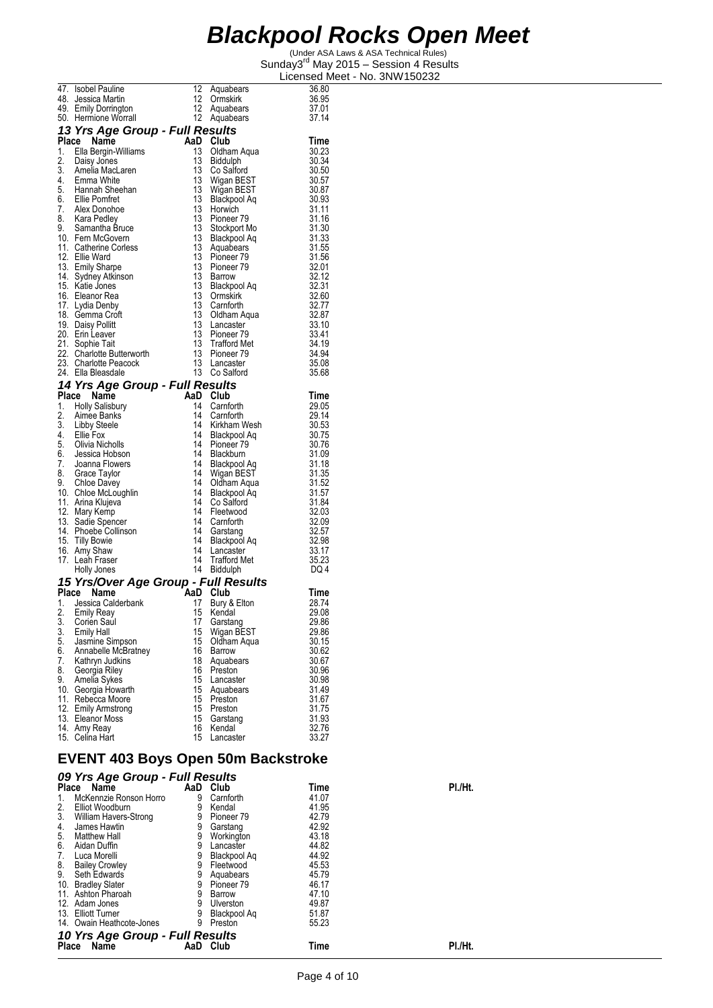(Under ASA Laws & ASA Technical Rules) Sunday3<sup>rd</sup> May 2015 - Session 4 Results Licensed Meet - No. 3NW150232

|       |                                                                                |     |                       | -100.10            |
|-------|--------------------------------------------------------------------------------|-----|-----------------------|--------------------|
|       | 47. Isobel Pauline                                                             | 12  | Aquabears             | 36.80              |
|       | 48. Jessica Martin                                                             | 12  | Ormskirk              | 36.95              |
|       | 49. Emily Dorrington                                                           | 12  | Aquabears             | 37.01              |
|       |                                                                                |     |                       |                    |
|       | 50. Hermione Worrall                                                           | 12  | Aquabears             | 37.14              |
|       | 13 Yrs Age Group - Full Results                                                |     |                       |                    |
| Place | Name                                                                           | AaD | Club                  | Time               |
|       | 1. Ella Bergin-Williams                                                        | 13  | Oldham Aqua           | 30.23              |
|       |                                                                                | 13  |                       |                    |
|       | 2. Daisy Jones                                                                 |     | Biddulph              | 30.34              |
|       |                                                                                | 13  | Co Salford            | 30.50              |
|       | 3. Amelia MacLaren<br>4. Emma White                                            | 13  | Wigan BEST            | 30.57              |
|       | 5. Hannah Sheehan                                                              | 13  | Wigan BEST            |                    |
|       | 6. Ellie Pomfret                                                               | 13  | Blackpool Aq          | 30.87<br>30.93     |
|       | 7. Alex Donohoe                                                                | 13  | Horwich               | 31.11              |
|       |                                                                                | 13  |                       | 31.16              |
|       | 8. Kara Pedley                                                                 |     | Pioneer <sub>79</sub> |                    |
|       | 9. Samantha Bruce                                                              | 13  | Stockport Mo          | 31.30              |
|       | 10. Fern McGovern                                                              | 13  | Blackpool Aq          | 31.33              |
|       | 11. Catherine Corless                                                          | 13  | Aquabears             | 31.55              |
|       | 12. Ellie Ward                                                                 | 13  | Pioneer <sub>79</sub> | 31.56              |
|       | 13. Emily Sharpe                                                               | 13  | Pioneer 79            | 32.01              |
|       | 14. Sydney Atkinson                                                            | 13  | Barrow                | 32.12              |
|       | 15. Katie Jones                                                                | 13  |                       | 32.31              |
|       |                                                                                |     | Blackpool Aq          |                    |
|       | 16. Eleanor Rea                                                                | 13  | Ormskirk              | 32.60              |
|       | 17. Lydia Denby                                                                | 13  | Carnforth             |                    |
|       | 18. Gemma Croft                                                                | 13  | Oldham Aqua           | 32.77<br>32.87     |
|       | 19. Daisy Pollitt                                                              | 13  | Lancaster             | 33.10              |
|       | 20. Erin Leaver                                                                | 13  | Pioneer 79            | 33.41              |
|       | 21. Sophie Tait                                                                | 13  | <b>Trafford Met</b>   | 34.19              |
|       | 22. Charlotte Butterworth                                                      | 13  | Pioneer <sub>79</sub> | 34.94              |
|       |                                                                                |     |                       |                    |
|       | 23. Charlotte Peacock                                                          | 13  | Lancaster             | 35.08              |
|       | 24. Ella Bleasdale                                                             | 13  | Co Salford            | 35.68              |
|       | 14 Yrs Age Group - Full Results                                                |     |                       |                    |
|       | Place Name                                                                     | AaD | Club                  | Time               |
|       |                                                                                |     |                       |                    |
|       | 1. Holly Salisbury                                                             | 14  | Carnforth             | 29.05              |
| 2.    | Aimee Banks                                                                    | 14  | Carnforth             | 29.14              |
|       | 3. Libby Steele<br>4. Ellie Fox<br>5. Clima Nichol                             | 14  | Kirkham Wesh          | $30.53$<br>$30.75$ |
|       |                                                                                | 14  | Blackpool Aq          |                    |
|       | 5. Olivia Nicholls                                                             | 14  | Pioneer 79            | 30.76              |
|       | 6. Jessica Hobson<br>7. Joanna Flowers                                         | 14  | Blackburn             | 31.09              |
|       |                                                                                | 14  | Blackpool Aq          |                    |
|       |                                                                                | 14  |                       | 31.18<br>31.35     |
|       |                                                                                |     | Wigan BEST            |                    |
|       |                                                                                | 14  | Oldham Aqua           | 31.52              |
|       | 8. Grace Taylor<br>9. Chloe Davey<br>10. Chloe McLoughlin<br>11. Arina Klujeva | 14  | Blackpool Aq          | 31.57              |
|       |                                                                                | 14  | Co Salford            | 31.84              |
|       | 12. Mary Kemp                                                                  | 14  | Fleetwood             | 32.03              |
|       | 13. Sadie Spencer                                                              | 14  | Carnforth             | 32.09              |
|       | 14. Phoebe Collinson                                                           | 14  | Garstang              | 32.57              |
|       | 15. Tilly Bowie                                                                | 14  | Blackpool Aq          | 32.98              |
|       | 16. Amy Shaw                                                                   | 14  |                       | 33.17              |
|       |                                                                                |     | Lancaster             |                    |
|       | 17. Leah Fraser                                                                | 14  | <b>Trafford Met</b>   | 35.23              |
|       | Holly Jones                                                                    | 14  | Biddulph              | DQ 4               |
|       | 15 Yrs/Over Age Group - Full Results                                           |     |                       |                    |
|       | Place Name<br>AaD                                                              |     | Club                  | Time               |
|       | 1. Jessica Calderbank                                                          | 17  |                       | 28.74              |
|       |                                                                                |     | Bury & Elton          |                    |
| 2.    | <b>Emily Reay</b>                                                              | 15  | Kendal                | 29.08              |
| 3.    | Corien Saul                                                                    | 17  | Garstang              | 29.86              |
| 3.    | <b>Emily Hall</b>                                                              | 15  | Wigan BEST            | 29.86              |
| 5.    | Jasmine Simpson                                                                | 15  | Oldham Aqua           | 30.15              |
| 6.    | Annabelle McBratney                                                            | 16  | Barrow                | 30.62              |
| 7.    | Kathryn Judkins                                                                | 18  | Aquabears             | 30.67              |
| 8.    |                                                                                | 16  | Preston               | 30.96              |
|       | Georgia Riley                                                                  |     |                       |                    |
| 9.    | Amelia Sykes                                                                   | 15  | Lancaster             | 30.98              |
| 10.   | Georgia Howarth                                                                | 15  | Aquabears             | 31.49              |
|       | 11. Rebecca Moore                                                              | 15  | Preston               | 31.67              |
|       | 12. Emily Armstrong                                                            | 15  | Preston               | 31.75              |
|       | 13. Eleanor Moss                                                               | 15  | Garstang              | 31.93              |
|       | 14. Amy Reay                                                                   | 16  | Kendal                | 32.76              |
|       | 15. Celina Hart                                                                | 15  | Lancaster             | 33.27              |
|       |                                                                                |     |                       |                    |
|       | EVENT 402 Boys Open 50m Backstroke                                             |     |                       |                    |

#### **EVENT 403 Boys Open 50m Backstroke**  *09 Yrs Age Group - Full Results*

| 09 The Age Oroup - Tull Results |     |              |       |         |
|---------------------------------|-----|--------------|-------|---------|
| <b>Place</b><br>Name            | AaD | Club         | Time  | PI./Ht. |
| McKennzie Ronson Horro<br>1.    | 9   | Carnforth    | 41.07 |         |
| 2.<br>Elliot Woodburn           | 9   | Kendal       | 41.95 |         |
| 3.<br>William Havers-Strong     | 9   | Pioneer 79   | 42.79 |         |
| James Hawtin<br>4.              | 9   | Garstang     | 42.92 |         |
| 5.<br><b>Matthew Hall</b>       | 9   | Workington   | 43.18 |         |
| 6.<br>Aidan Duffin              | 9   | Lancaster    | 44.82 |         |
| 7.<br>Luca Morelli              |     | Blackpool Ag | 44.92 |         |
| 8.<br><b>Bailey Crowley</b>     | 9   | Fleetwood    | 45.53 |         |
| 9.<br>Seth Edwards              |     | Aquabears    | 45.79 |         |
| 10. Bradley Slater              | 9   | Pioneer 79   | 46.17 |         |
| 11. Ashton Pharoah              | 9   | Barrow       | 47.10 |         |
| 12. Adam Jones                  | 9   | Ulverston    | 49.87 |         |
| 13. Elliott Turner              |     | Blackpool Aq | 51.87 |         |
| 14. Owain Heathcote-Jones       | 9   | Preston      | 55.23 |         |
| 10 Yrs Age Group - Full Results |     |              |       |         |
| Name<br><b>Place</b>            | AaD | Club         | Time  | PI./Ht. |
|                                 |     |              |       |         |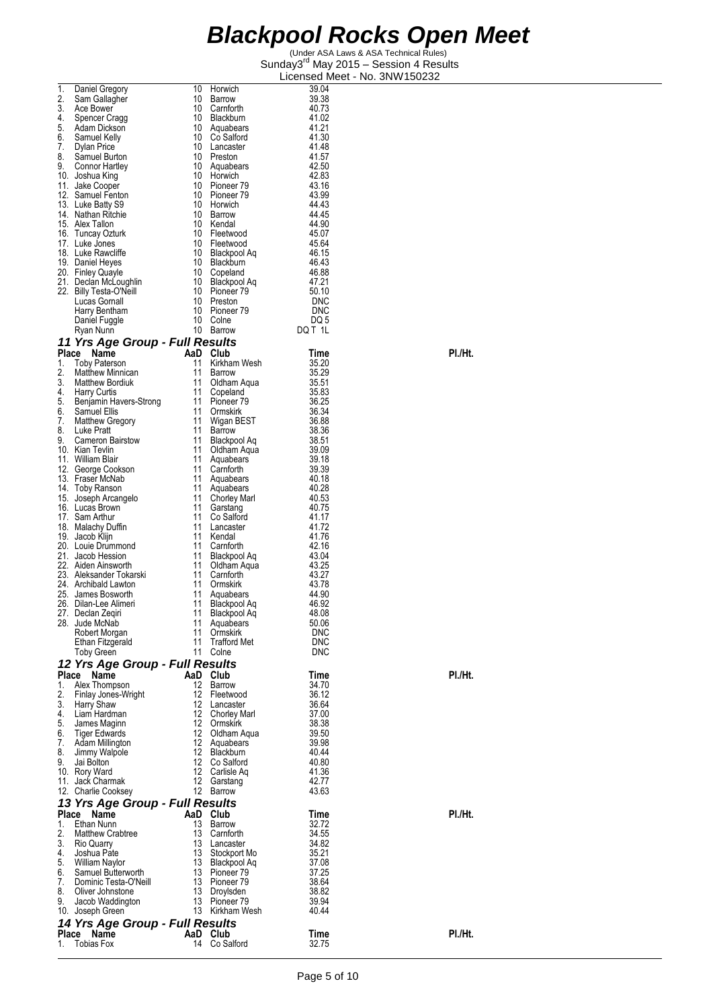| 1.       | Daniel Gregory                                  | 10       | Horwich                          | 39.04                    |         |
|----------|-------------------------------------------------|----------|----------------------------------|--------------------------|---------|
| 2.       | Sam Gallagher                                   | 10       | Barrow                           | 39.38                    |         |
| 3.       | Ace Bower                                       | 10       | Carnforth                        | 40.73                    |         |
| 4.       | Spencer Cragg                                   | 10       | Blackburn                        | 41.02                    |         |
| 5.<br>6. | Adam Dickson<br>Samuel Kelly                    | 10<br>10 | Aquabears<br>Co Saltord          | 41.21<br>41.30           |         |
| 7.       | Dylan Price                                     |          | 10 Lancaster                     | 41.48                    |         |
| 8.       | Samuel Burton                                   |          | 10 Preston                       | 41.57                    |         |
| 9.       | Connor Hartley                                  |          | 10 Aquabears                     | 42.50                    |         |
|          | 10. Joshua King                                 |          | 10 Horwich                       | 42.83                    |         |
|          | 11. Jake Cooper                                 |          | 10 Pioneer 79                    | 43.16                    |         |
|          | 12. Samuel Fenton<br>13. Luke Batty S9          |          | 10 Pioneer 79<br>10 Horwich      | 43.99<br>44.43           |         |
|          | 14. Nathan Ritchie                              |          | 10 Barrow                        | 44.45                    |         |
|          | 15. Alex Tallon                                 |          | 10 Kendal                        | 44.90                    |         |
|          | 16. Tuncay Ozturk                               |          | 10 Fleetwood                     | 45.07                    |         |
|          | 17. Luke Jones                                  |          | 10 Fleetwood                     | 45.64                    |         |
|          | 18. Luke Rawcliffe<br>19. Daniel Heyes          |          | 10 Blackpool Aq<br>10 Blackburn  | 46.15<br>46.43           |         |
|          | 20. Finley Quayle                               |          | 10 Copeland                      | 46.88                    |         |
|          | 21. Declan McLoughlin                           |          | 10 Blackpool Aq                  | 47.21                    |         |
|          | 22. Billy Testa-O'Neill                         |          | 10 Pioneer 79                    | 50.10                    |         |
|          | Lucas Gornall                                   |          | 10 Preston                       | DNC                      |         |
|          | Harry Bentham<br>Daniel Fuggle                  | 10<br>10 | Pioneer 79<br>Colne              | <b>DNC</b><br>DQ 5       |         |
|          | Ryan Nunn                                       |          | 10 Barrow                        | DQ T 1L                  |         |
|          | 11 Yrs Age Group - Full Results                 |          |                                  |                          |         |
| Place    | Name                                            |          | AaD Club                         | Time                     | PI./Ht. |
| 1.       | <b>Toby Paterson</b>                            | 11       | Kirkham Wesh                     | 35.20                    |         |
| 2.       | <b>Matthew Minnican</b>                         | 11       | Barrow                           | 35.29                    |         |
| 3.       | <b>Matthew Bordiuk</b>                          | 11       | Oldham Aqua                      | 35.51                    |         |
| 4.       | Harry Curtis                                    | 11       | Copeland                         | 35.83                    |         |
| 5.<br>6. | Benjamin Havers-Strong<br>Samuel Ellis          | 11<br>11 | Pioneer 79<br>Ormskirk           | 36.25<br>36.34           |         |
| 7.       | <b>Matthew Gregory</b>                          | 11       | Wigan BEST                       | 36.88                    |         |
| 8.       | Luke Pratt                                      | 11       | Barrow                           | 38.36                    |         |
| 9.       | <b>Cameron Bairstow</b>                         | 11       | Blackpool Aq                     | 38.51                    |         |
|          | 10. Kian Tevlin                                 | 11       | Oldham Aqua                      | 39.09                    |         |
|          | 11. William Blair                               | 11<br>11 | Aquabears<br>Carnforth           | 39.18<br>39.39           |         |
|          | 12. George Cookson<br>13. Fraser McNab          | 11       | Aquabears                        | 40.18                    |         |
|          | 14. Toby Ranson                                 | 11       | Aquabears                        | 40.28                    |         |
|          | 15. Joseph Arcangelo                            | 11       | <b>Chorley Marl</b>              | 40.53                    |         |
|          | 16. Lucas Brown                                 | 11       | Garstang                         | 40.75                    |         |
|          | 17. Sam Arthur                                  | 11<br>11 | Co Salford<br>Lancaster          | 41.17<br>41.72           |         |
|          | 18. Malachy Duffin<br>19. Jacob Klijn           | 11       | Kendal                           | 41.76                    |         |
|          | 20. Louie Drummond                              | 11       | Carnforth                        | 42.16                    |         |
|          | 21. Jacob Hession                               | 11       | Blackpool Aq                     | 43.04                    |         |
|          | 22. Aiden Ainsworth                             | 11       | Oldham Aqua                      | 43.25                    |         |
|          | 23. Aleksander Tokarski<br>24. Archibald Lawton | 11<br>11 | Carnforth                        | 43.27                    |         |
|          | 25. James Bosworth                              | 11       | Ormskirk<br>Aguabears            | 43.78<br>44.90           |         |
|          | 26. Dilan-Lee Alimeri                           | 11       | Blackpool Aq                     | 46.92                    |         |
|          | 27. Declan Zeqiri                               | 11       | Blackpool Aq                     | 48.08                    |         |
|          | 28. Jude McNab                                  | 11       | Aquabears                        | 50.06                    |         |
|          | Robert Morgan                                   | 11<br>11 | Ormskirk                         | <b>DNC</b>               |         |
|          | Ethan Fitzgerald<br>Toby Green                  | 11       | <b>Trafford Met</b><br>Colne     | <b>DNC</b><br><b>DNC</b> |         |
|          | 12 Yrs Age Group - Full Results                 |          |                                  |                          |         |
|          | Place Name                                      |          | AaD Club                         | Time                     | PI./Ht. |
| 1.       | Alex Thompson                                   |          | 12 Barrow                        | 34.70                    |         |
| 2.       | Finlay Jones-Wright                             |          | 12 Fleetwood                     | 36.12                    |         |
| 3.       | <b>Harry Shaw</b>                               | 12       | Lancaster                        | 36.64                    |         |
| 4.<br>5. | Liam Hardman                                    |          | 12 Chorley Marl<br>12 Ormskirk   | 37.00<br>38.38           |         |
| 6.       | James Maginn<br>Tiger Edwards                   |          | 12 Oldham Aqua                   | 39.50                    |         |
| 7.       | Adam Millington                                 |          | 12 Aquabears                     | 39.98                    |         |
| 8.       | Jimmy Walpole                                   |          | 12 Blackburn                     | 40.44                    |         |
| 9.       | Jai Bolton                                      |          | 12 Co Salford                    | 40.80                    |         |
|          | 10. Rory Ward                                   |          | 12 Carlisle Aq                   | 41.36                    |         |
|          | 11. Jack Charmak<br>12. Charlie Cooksey         |          | 12 Garstang<br>12 Barrow         | 42.77<br>43.63           |         |
|          | 13 Yrs Age Group - Full Results                 |          |                                  |                          |         |
|          | Place Name                                      |          | AaD Club                         | Time                     | PI./Ht. |
| 1.       | Ethan Nunn                                      |          | 13 Barrow                        | 32.72                    |         |
| 2.       | <b>Matthew Crabtree</b>                         |          | 13 Carnforth                     | 34.55                    |         |
| 3.       | Rio Quarry                                      |          | 13 Lancaster                     | 34.82                    |         |
| 4.       | Joshua Pate                                     | 13       | Stockport Mo                     | 35.21                    |         |
| 5.<br>6. | William Naylor<br>Samuel Butterworth            |          | 13 Blackpool Aq<br>13 Pioneer 79 | 37.08<br>37.25           |         |
| 7.       | Dominic Testa-O'Neill                           |          | 13 Pioneer 79                    | 38.64                    |         |
| 8.       | Oliver Johnstone                                |          | 13 Droylsden                     | 38.82                    |         |
| 9.       | Jacob Waddington                                |          | 13 Pioneer 79                    | 39.94                    |         |
|          | 10. Joseph Green                                |          | 13 Kirkham Wesh                  | 40.44                    |         |
|          | 14 Yrs Age Group - Full Results                 |          |                                  |                          |         |
| Place    | Name                                            |          | AaD Club                         | Time                     | PI./Ht. |
| 1.       | <b>Tobias Fox</b>                               |          | 14 Co Salford                    | 32.75                    |         |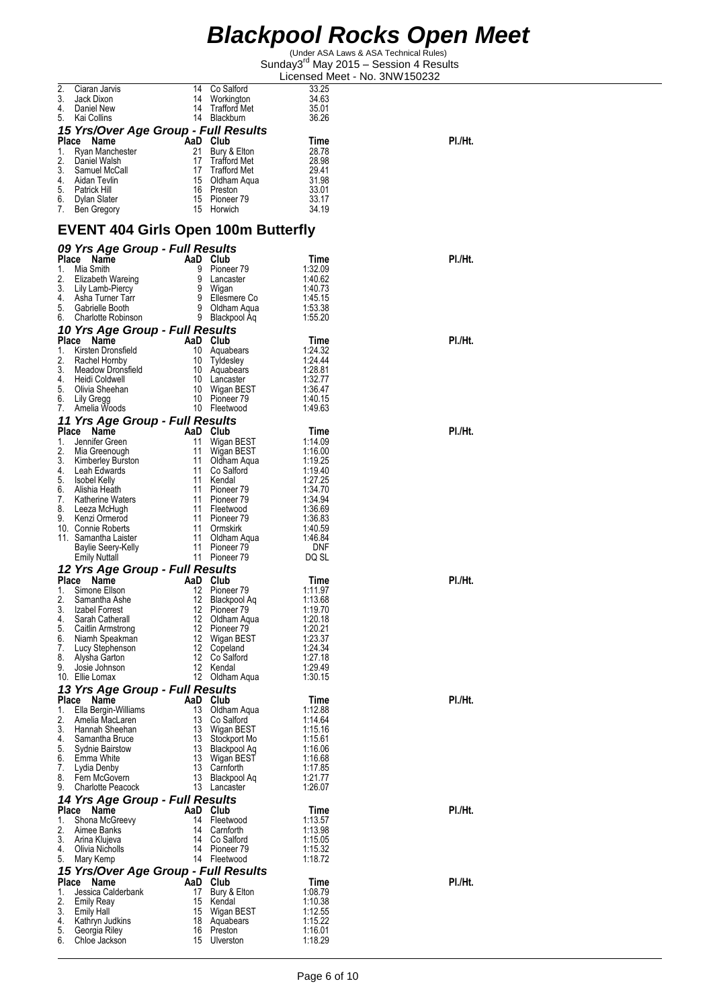| <b>Blackpool Rocks Open Meet</b> |  |  |  |
|----------------------------------|--|--|--|
|----------------------------------|--|--|--|

| 2.       | Ciaran Jarvis                              | 14  | Co Salford                      | 33.25              |         |
|----------|--------------------------------------------|-----|---------------------------------|--------------------|---------|
| 3.       | Jack Dixon                                 | 14  | Workington                      | 34.63              |         |
| 4.       | Daniel New                                 | 14  | Trafford Met                    | 35.01              |         |
| 5.       | Kai Collins                                |     | 14 Blackburn                    | 36.26              |         |
|          | 15 Yrs/Over Age Group - Full Results       |     |                                 |                    |         |
|          | Place<br>Name                              | AaD | Club                            | Time               | PI./Ht. |
| 1.       | Ryan Manchester                            | 21  | Bury & Elton                    | 28.78              |         |
| 2.       | Daniel Walsh                               | 17  | Trafford Met                    | 28.98              |         |
| 3.       | Samuel McCall                              | 17  | <b>Trafford Met</b>             | 29.41              |         |
| 4.       | Aidan Tevlin                               | 15  | Oldham Aqua                     | 31.98              |         |
| 5.       | Patrick Hill                               | 16  | Preston                         | 33.01              |         |
|          | 6. Dylan Slater                            |     | 15 Pioneer 79                   | 33.17              |         |
| 7.       | Ben Gregory                                | 15  | Horwich                         | 34.19              |         |
|          |                                            |     |                                 |                    |         |
|          |                                            |     |                                 |                    |         |
|          | <b>EVENT 404 Girls Open 100m Butterfly</b> |     |                                 |                    |         |
|          | 09 Yrs Age Group - Full Results            |     |                                 |                    |         |
| Place    | Name                                       |     | AaD Club                        | Time               | PI./Ht. |
| 1.       | Mia Smith                                  | 9   | Pioneer 79                      | 1:32.09            |         |
| 2.       | Elizabeth Wareing                          |     | 9 Lancaster                     | 1:40.62            |         |
| 3.       | Lily Lamb-Piercy                           |     | 9 Wigan                         | 1:40.73            |         |
| 4.       | Asha Turner Tarr                           |     | 9 Ellesmere Co                  | 1:45.15            |         |
| 5.       | Gabrielle Booth                            |     | 9 Oldham Aqua                   | 1:53.38            |         |
| 6.       | Charlotte Robinson                         |     | 9 Blackpool Aq                  | 1:55.20            |         |
|          |                                            |     |                                 |                    |         |
|          | 10 Yrs Age Group - Full Results            |     |                                 |                    |         |
| Place    | Name                                       |     | AaD Club                        | Time               | PI./Ht. |
| 1.       | Kirsten Dronsfield                         | 10  | Aquabears                       | 1:24.32            |         |
| 2.       | Rachel Hornby                              | 10  | Tyldesley                       | 1.24.44            |         |
| 3.       | Meadow Dronsfield                          | 10  | Aquabears                       | 1:28.81            |         |
| 4.       | Heidi Coldwell                             |     | 10 Lancaster                    | 1:32.77            |         |
| 5.       | Olivia Sheehan                             | 10  | Wigan BEST                      | 1:36.47            |         |
| 6.       | Lily Gregg                                 |     | 10 Pioneer 79                   | 1:40.15            |         |
| 7.       | Amelia Woods                               |     | 10 Fleetwood                    | 1.49.63            |         |
|          | 11 Yrs Age Group - Full Results            |     |                                 |                    |         |
|          | Place Name                                 |     | AaD Club                        | Time               | PI./Ht. |
| 1.       | Jennifer Green                             | 11  | Wigan BEST                      | 1:14.09            |         |
| 2.       | Mia Greenough                              | 11  | Wigan BEST                      | 1:16.00            |         |
| 3.       | Kimberley Burston                          | 11  | Oldham Aqua                     | 1:19.25            |         |
| 4.       | Leah Edwards                               | 11  | Co Salford                      | 1:19.40            |         |
| 5.       | Isobel Kelly                               | 11  | Kendal                          | 1:27.25            |         |
| 6.       | Alishia Heath                              | 11  | Pioneer 79                      | 1:34.70            |         |
| 7.       | Katherine Waters                           | 11  | Pioneer 79                      | 1:34.94            |         |
| 8.       | Leeza McHugh                               |     | 11 Fleetwood                    | 1:36.69            |         |
| 9.       | Kenzi Ormerod                              | 11  | Pioneer 79                      | 1:36.83            |         |
|          | 10. Connie Roberts                         |     | 11 Ormskirk                     | 1:40.59            |         |
|          | 11. Samantha Laister                       |     | 11 Oldham Aqua<br>11 Pioneer 79 | 1:46.84            |         |
|          | <b>Baylie Seery-Kelly</b>                  |     |                                 | DNF                |         |
|          | <b>Emily Nuttall</b>                       |     | 11 Pioneer 79                   | DQ SL              |         |
|          | 12 Yrs Age Group - Full Results            |     |                                 |                    |         |
|          | Place<br>Name                              | AaD | Club                            | Time               | PI./Ht. |
| 1.       | Simone Ellson                              | 12  | Pioneer 79                      | 1:11.97            |         |
| 2.       | Samantha Ashe                              | 12  | Blackpool Aq                    | 1.13.68            |         |
| 3.       | Izabel Forrest                             | 12  | Pioneer 79                      | 1:19.70            |         |
| 4.       | Sarah Catherall                            |     | 12 Oldham Aqua                  | 1:20.18            |         |
| 5.       | Caitlin Armstrong                          | 12  | Pioneer 79                      | 1:20.21            |         |
| 6.       | Niamh Speakman                             | 12  | Wigan BEST                      | 1:23.37            |         |
| 7.       | Lucy Stephenson                            | 12  | Copeland                        | 1:24.34            |         |
| 8.       | Alysha Garton                              |     | 12 Co Salford                   | 1:27.18            |         |
| 9.       | Josie Johnson                              | 12  | Kendal                          | 1:29.49            |         |
|          | 10. Ellie Lomax                            |     | 12 Oldham Aqua                  | 1:30.15            |         |
|          | 13 Yrs Age Group - Full Results            |     |                                 |                    |         |
|          | Place<br>Name                              |     | AaD Club                        | Time               | PI./Ht. |
| 1.       | Ella Bergin-Williams                       | 13  | Oldham Aqua                     | 1:12.88            |         |
| 2.       | Amelia MacLaren                            | 13  | Co Salford                      | 1:14.64            |         |
| 3.       | Hannah Sheehan                             | 13  | Wigan BEST                      | 1:15.16            |         |
| 4.<br>5. | Samantha Bruce                             |     | 13 Stockport Mo                 | 1:15.61            |         |
|          | Sydnie Bairstow                            | 13  | Blackpool Aq                    | 1:16.06            |         |
| 6.       | Emma White                                 |     | 13 Wigan BEST                   | 1.16.68            |         |
| 7.<br>8. | Lydia Denby                                | 13  | 13 Carnforth                    | 1:17.85            |         |
| 9.       | Fern McGovern<br><b>Charlotte Peacock</b>  |     | Blackpool Aq<br>13 Lancaster    | 1:21.77<br>1:26.07 |         |
|          |                                            |     |                                 |                    |         |
|          | 14 Yrs Age Group - Full Results            |     |                                 |                    |         |
|          | Place Name                                 |     | AaD Club                        | Time               | PI./Ht. |
| 1.       | Shona McGreevy                             |     | 14 Fleetwood                    | 1:13.57            |         |
| 2.       | Aimee Banks                                |     | 14 Carnforth                    | 1:13.98            |         |
| 3.       | Arina Klujeva                              |     | 14 Co Saltord                   | 1:15.05            |         |
| 4.       | Olivia Nicholls                            | 14  | Pioneer <sub>79</sub>           | 1:15.32            |         |
| 5.       | Mary Kemp                                  |     | 14 Fleetwood                    | 1:18.72            |         |
|          | 15 Yrs/Over Age Group - Full Results       |     |                                 |                    |         |
|          | Place Name                                 | AaD | Club                            | Time               | PI./Ht. |
| 1.       | Jessica Calderbank                         | 17  | Bury & Elton                    | 1:08.79            |         |
| 2.       | <b>Emily Reay</b>                          | 15  | Kendal                          | 1:10.38            |         |
| 3.       | <b>Emily Hall</b>                          |     | 15 Wigan BEST                   | 1:12.55            |         |
| 4.       | Kathryn Judkins                            | 18  | Aquabears                       | 1:15.22            |         |
| 5.       | Georgia Riley                              | 16  | Preston                         | 1:16.01            |         |
| 6.       | Chloe Jackson                              |     | 15 Ulverston                    | 1:18.29            |         |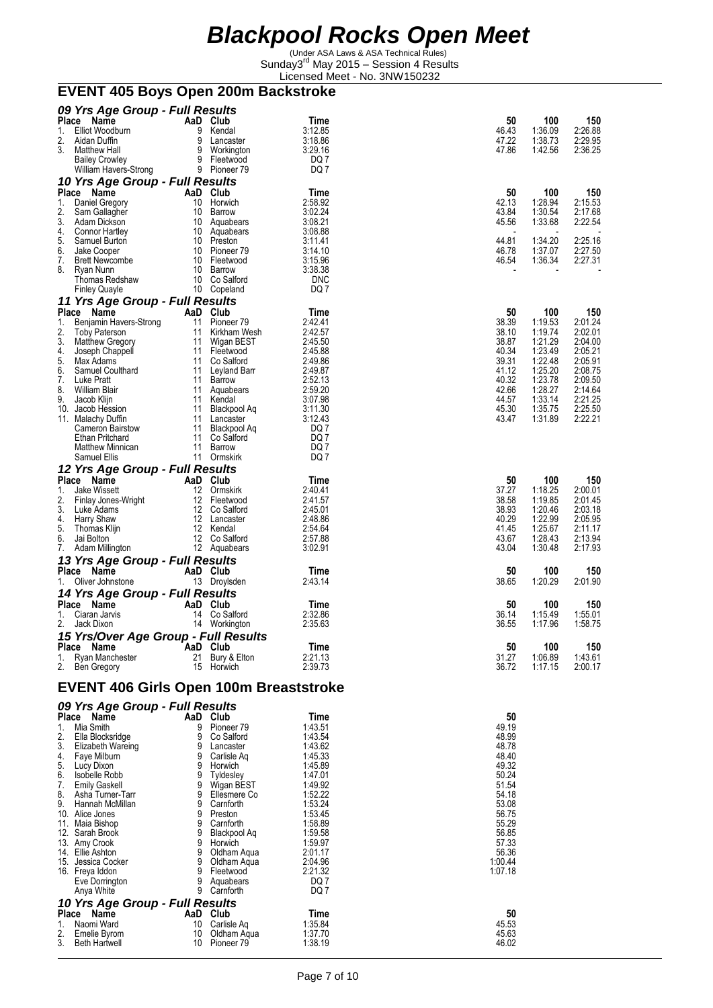(Under ASA Laws & ASA Technical Rules) Sunday3<sup>rd</sup> May 2015 - Session 4 Results Licensed Meet - No. 3NW150232

# **EVENT 405 Boys Open 200m Backstroke**

|          | 09 Yrs Age Group - Full Results               |        |                                  |                    |                    |                    |                    |
|----------|-----------------------------------------------|--------|----------------------------------|--------------------|--------------------|--------------------|--------------------|
| Place    | Name                                          |        | AaD Club                         | Time               | 50                 | 100                | 150                |
| 1.<br>2. | Elliot Woodburn<br>Aidan Duffin               | 9<br>9 | Kendal                           | 3:12.85<br>3:18.86 | 46.43<br>47.22     | 1:36.09<br>1:38.73 | 2:26.88<br>2:29.95 |
| 3.       | Matthew Hall                                  |        | Lancaster<br>9 Workington        | 3.29.16            | 47.86              | 1:42.56            | 2:36.25            |
|          | <b>Bailey Crowley</b>                         |        | 9 Fleetwood                      | DQ 7               |                    |                    |                    |
|          | William Havers-Strong                         |        | 9 Pioneer 79                     | DQ 7               |                    |                    |                    |
|          | 10 Yrs Age Group - Full Results               |        |                                  |                    |                    |                    |                    |
|          | Place Name                                    |        | AaD Club                         | Time               | 50                 | 100                | 150                |
| 1.       | Daniel Gregory                                |        | 10 Horwich                       | 2:58.92            | 42.13              | 1:28.94            | 2:15.53            |
| 2.       | Sam Gallagher                                 |        | 10 Barrow                        | 3:02.24            | 43.84              | 1:30.54            | 2:17.68            |
| 3.       | Adam Dickson                                  |        | 10 Aquabears                     | 3:08.21            | 45.56              | 1:33.68            | 2:22.54            |
| 4.       | Connor Hartley                                |        | 10 Aquabears                     | 3:08.88            |                    |                    |                    |
| 5.<br>6. | Samuel Burton<br>Jake Cooper                  |        | 10 Preston<br>10 Pioneer 79      | 3:11.41<br>3:14.10 | 44.81<br>46.78     | 1:34.20<br>1:37.07 | 2:25.16<br>2:27.50 |
| 7.       | Brett Newcombe                                |        | 10 Fleetwood                     | 3:15.96            | 46.54              | 1:36.34            | 2:27.31            |
| 8.       | Ryan Nunn                                     |        | 10 Barrow                        | 3:38.38            |                    |                    |                    |
|          | Thomas Redshaw                                |        | 10 Co Salford                    | <b>DNC</b>         |                    |                    |                    |
|          | <b>Finley Quayle</b>                          |        | 10 Copeland                      | DQ 7               |                    |                    |                    |
|          | 11 Yrs Age Group - Full Results               |        |                                  |                    |                    |                    |                    |
|          | Place Name                                    |        | AaD Club                         | Time               | 50                 | 100                | 150                |
| 1.       | Benjamin Havers-Strong                        | 11     | Pioneer <sub>79</sub>            | 2:42.41            | 38.39              | 1:19.53            | 2:01.24            |
| 2.       | <b>Toby Paterson</b>                          |        | 11 Kirkham Wesh                  | 2:42.57            | 38.10              | 1:19.74            | 2:02.01            |
| 3.<br>4. | <b>Matthew Gregory</b>                        |        | 11 Wigan BEST                    | 2:45.50            | 38.87              | 1:21.29            | 2:04.00            |
| 5.       | Joseph Chappell<br>Max Adams                  | 11     | 11 Fleetwood<br>Co Salford       | 2:45.88<br>2:49.86 | 40.34<br>39.31     | 1:23.49<br>1:22.48 | 2:05.21<br>2:05.91 |
| 6.       | Samuel Coulthard                              |        | 11 Leyland Barr                  | 2:49.87            | 41.12              | 1:25.20            | 2:08.75            |
| 7.       | Luke Pratt                                    |        | 11 Barrow                        | 2:52.13            | 40.32              | 1:23.78            | 2:09.50            |
| 8.       | William Blair                                 |        | 11 Aquabears                     | 2:59.20            | 42.66              | 1:28.27            | 2:14.64            |
| 9.       | Jacob Klijn                                   |        | 11 Kendal                        | 3:07.98            | 44.57              | 1:33.14            | 2:21.25            |
| 10.      | Jacob Hession                                 | 11     | Blackpool Aq                     | 3:11.30            | 45.30              | 1:35.75            | 2:25.50            |
|          | 11. Malachy Duffin                            |        | 11 Lancaster                     | 3:12.43<br>DQ 7    | 43.47              | 1:31.89            | 2:22.21            |
|          | Cameron Bairstow<br>Ethan Pritchard           |        | 11 Blackpool Aq<br>11 Co Salford | DQ 7               |                    |                    |                    |
|          | Matthew Minnican                              |        | 11 Barrow                        | DQ 7               |                    |                    |                    |
|          | Samuel Ellis                                  |        | 11 Ormskirk                      | DQ 7               |                    |                    |                    |
|          | 12 Yrs Age Group - Full Results               |        |                                  |                    |                    |                    |                    |
|          | Place Name                                    |        | AaD Club                         | Time               | 50                 | 100                | 150                |
| 1.       | Jake Wissett                                  |        | 12 Ormskirk                      | 2:40.41            | 37.27              | 1:18.25            | 2:00.01            |
| 2.       | Finlay Jones-Wright                           |        | 12 Fleetwood                     | 2:41.57            | 38.58              | 1:19.85            | 2:01.45            |
| 3.       | Luke Adams                                    |        | 12 Co Salford                    | 2:45.01            | 38.93              | 1:20.46            | 2:03.18            |
| 4.       | Harry Shaw                                    |        | 12 Lancaster                     | 2:48.86            | 40.29              | 1:22.99            | 2:05.95            |
| 5.<br>6. | Thomas Klijn<br>Jai Bolton                    |        | 12 Kendal<br>12 Co Salford       | 2:54.64<br>2:57.88 | 41.45<br>43.67     | 1:25.67<br>1:28.43 | 2:11.17<br>2:13.94 |
| 7.       | Adam Millington                               |        | 12 Aquabears                     | 3:02.91            | 43.04              | 1:30.48            | 2:17.93            |
|          | 13 Yrs Age Group - Full Results               |        |                                  |                    |                    |                    |                    |
|          | Place Name                                    |        | AaD Club                         | Time               | 50                 | 100                | 150                |
| 1.       | Oliver Johnstone                              |        | 13 Droylsden                     | 2:43.14            | 38.65              | 1:20.29            | 2:01.90            |
|          | 14 Yrs Age Group - Full Results               |        |                                  |                    |                    |                    |                    |
|          | Place Name                                    |        | AaD Club                         | Time               | 50                 | 100                | 150                |
| 1.       | Ciaran Jarvis                                 |        | 14 Co Salford                    | 2:32.86            | 36.14              | 1:15.49            | 1:55.01            |
| 2.       | Jack Dixon                                    |        | 14 Workington                    | 2:35.63            | 36.55              | 1:17.96            | 1:58.75            |
|          | 15 Yrs/Over Age Group - Full Results          |        |                                  |                    |                    |                    |                    |
|          | Place Name                                    |        | AaD Club                         | Time               | 50                 | 100                | 150                |
|          | 1. Ryan Manchester                            |        | 21 Bury & Elton                  | 2:21.13            | 31.27              | 1:06.89            | 1:43.61            |
|          | 2. Ben Gregory                                |        | 15 Horwich                       | 2:39.73            | 36.72              | 1:17.15            | 2:00.17            |
|          |                                               |        |                                  |                    |                    |                    |                    |
|          | <b>EVENT 406 Girls Open 100m Breaststroke</b> |        |                                  |                    |                    |                    |                    |
|          | 09 Yrs Age Group - Full Results               |        |                                  |                    |                    |                    |                    |
|          | Place Name                                    |        | AaD Club                         | Time               | 50                 |                    |                    |
| 1.       | Mia Smith                                     | 9      | Pioneer <sub>79</sub>            | 1:43.51            | 49.19              |                    |                    |
| 2.       | Ella Blocksridge                              | 9      | Co Salford                       | 1:43.54            | 48.99              |                    |                    |
| 3.       | Elizabeth Wareing                             | 9      | Lancaster                        | 1:43.62            | 48.78              |                    |                    |
| 4.       | Faye Milburn                                  |        | 9 Carlisle Aq                    | 1:45.33            | 48.40              |                    |                    |
| 5.       | Lucy Dixon                                    | 9      | Horwich                          | 1:45.89            | 49.32              |                    |                    |
| 6.       | Isobelle Robb                                 | 9      | Tyldesley                        | 1:47.01            | 50.24              |                    |                    |
| 7.<br>8. | <b>Emily Gaskell</b><br>Asha Turner-Tarr      | 9<br>9 | Wigan BEST<br>Ellesmere Co       | 1:49.92            | 51.54<br>54.18     |                    |                    |
| 9.       | Hannah McMillan                               | 9      | Carnforth                        | 1:52.22<br>1:53.24 | 53.08              |                    |                    |
|          | 10. Alice Jones                               | 9      | Preston                          | 1:53.45            | 56.75              |                    |                    |
|          | 11. Maia Bishop                               | 9      | Carnforth                        | 1:58.89            | 55.29              |                    |                    |
|          | 12. Sarah Brook                               | 9      | Blackpool Aq                     | 1:59.58            | 56.85              |                    |                    |
|          | 13. Amy Crook                                 | 9      | Horwich                          | 1:59.97            | 57.33              |                    |                    |
|          | 14. Ellie Ashton                              | 9<br>9 | Oldham Aqua                      | 2:01.17            | 56.36              |                    |                    |
|          | 15. Jessica Cocker<br>16. Freya Iddon         |        | Oldham Aqua<br>9 Fleetwood       | 2:04.96<br>2:21.32 | 1:00.44<br>1:07.18 |                    |                    |
|          | Eve Dorrington                                | 9      | Aquabears                        | DQ 7               |                    |                    |                    |
|          | Anya White                                    |        | 9 Carnforth                      | DQ 7               |                    |                    |                    |
|          | 10 Yrs Age Group - Full Results               |        |                                  |                    |                    |                    |                    |
|          | Place Name                                    |        | AaD Club                         | Time               | 50                 |                    |                    |
| 1.       | Naomi Ward                                    | 10     | Carlisle Aq                      | 1:35.84            | 45.53              |                    |                    |
| 2.       | Emelie Byrom                                  | 10     | Oldham Aqua                      | 1:37.70            | 45.63              |                    |                    |
| 3.       | <b>Beth Hartwell</b>                          |        | 10 Pioneer 79                    | 1:38.19            | 46.02              |                    |                    |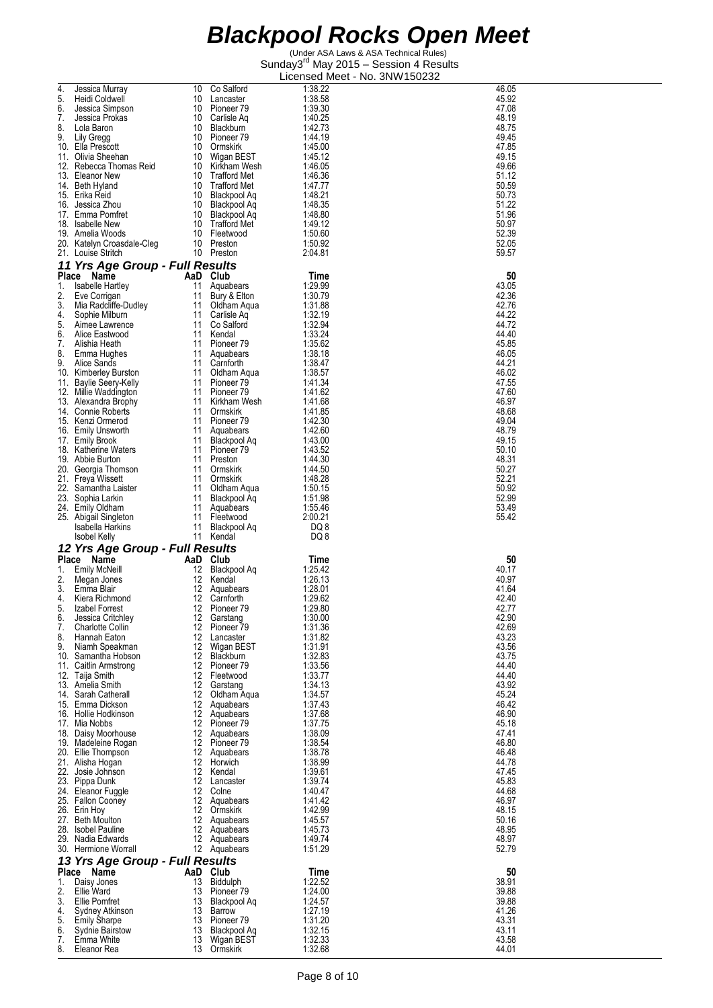| 4. | Jessica Murray                  | 10       | Co Salford                   | 1:38.22 | 46.05 |
|----|---------------------------------|----------|------------------------------|---------|-------|
| 5. | Heidi Coldwell                  | 10       | Lancaster                    | 1:38.58 | 45.92 |
| 6. | Jessica Simpson                 | 10       | Pioneer 79                   | 1:39.30 | 47.08 |
| 7. | Jessica Prokas                  | 10       | Carlisle Aq                  | 1.40.25 | 48.19 |
| 8. | Lola Baron                      | 10       | Blackburn                    | 1.42.73 | 48.75 |
|    |                                 |          |                              |         |       |
| 9. | Lily Gregg                      |          | 10 Pioneer 79                | 1:44.19 | 49.45 |
|    | 10. Ella Prescott               | 10       | Ormskirk                     | 1.45.00 | 47.85 |
|    | 11. Olivia Sheehan              | 10       | Wigan BEST                   | 1:45.12 | 49.15 |
|    | 12. Rebecca Thomas Reid         | 10       | Kirkham Wesh                 | 1:46.05 | 49.66 |
|    | 13. Eleanor New                 | 10       | <b>Trafford Met</b>          | 1:46.36 | 51.12 |
|    |                                 |          |                              |         |       |
|    | 14. Beth Hyland                 | 10       | <b>Trafford Met</b>          | 1.47.77 | 50.59 |
|    | 15. Erika Reid                  |          | 10 Blackpool Aq              | 1:48.21 | 50.73 |
|    | 16. Jessica Zhou                | 10       | Blackpool Ag                 | 1:48.35 | 51.22 |
|    | 17. Emma Pomfret                | 10       | Blackpool Aq                 | 1.48.80 | 51.96 |
|    | 18. Isabelle New                | 10       | Trafford Met                 | 1.49.12 | 50.97 |
|    | 19. Amelia Woods                | 10       | Fleetwood                    | 1.50.60 | 52.39 |
|    |                                 |          |                              |         |       |
|    | 20. Katelyn Croasdale-Cleg      | 10       | Preston                      | 1.50.92 | 52.05 |
|    | 21. Louise Stritch              |          | 10 Preston                   | 2:04.81 | 59.57 |
|    | 11 Yrs Age Group - Full Results |          |                              |         |       |
|    |                                 |          |                              |         |       |
|    | Place Name                      | AaD Club |                              | Time    | 50    |
| 1. | Isabelle Hartley                | 11       | Aquabears                    | 1:29.99 | 43.05 |
| 2. | Eve Corrigan                    | 11       | Bury & Elton                 | 1:30.79 | 42.36 |
| 3. | Mia Radcliffe-Dudley            | 11       | Oldham Aqua                  | 1.31.88 | 42.76 |
| 4. |                                 | 11       | Carlisle Aq                  | 1:32.19 | 44.22 |
|    | Sophie Milburn                  |          |                              |         |       |
| 5. | Aimee Lawrence                  | 11       | Co Salford                   | 1:32.94 | 44.72 |
| 6. | Alice Eastwood                  | 11       | Kendal                       | 1:33.24 | 44.40 |
| 7. | Alishia Heath                   | 11       | Pioneer 79                   | 1.35.62 | 45.85 |
| 8. | Emma Hughes                     | 11       | Aquabears                    | 1:38.18 | 46.05 |
| 9. | Alice Sands                     | 11       | Carnforth                    | 1:38.47 | 44.21 |
|    |                                 | 11       |                              |         | 46.02 |
|    | 10. Kimberley Burston           |          | Oldham Aqua                  | 1:38.57 |       |
|    | 11. Baylie Seery-Kelly          | 11       | Pioneer 79                   | 1:41.34 | 47.55 |
|    | 12. Millie Waddington           | 11       | Pioneer 79                   | 1:41.62 | 47.60 |
|    | 13. Alexandra Brophy            | 11       | Kirkham Wesh                 | 1:41.68 | 46.97 |
|    | 14. Connie Roberts              | 11       | Ormskirk                     | 1:41.85 | 48.68 |
|    | 15. Kenzi Ormerod               | 11       | Pioneer 79                   | 1:42.30 | 49.04 |
|    |                                 |          |                              |         |       |
|    | 16. Emily Unsworth              | 11       | Aquabears                    | 1.42.60 | 48.79 |
|    | 17. Emily Brook                 | 11       | Blackpool Aq                 | 1:43.00 | 49.15 |
|    | 18. Katherine Waters            | 11       | Pioneer 79                   | 1:43.52 | 50.10 |
|    | 19. Abbie Burton                | 11       | Preston                      | 1.44.30 | 48.31 |
|    | 20. Georgia Thomson             | 11       | Ormskirk                     | 1:44.50 | 50.27 |
|    |                                 | 11       | Ormskirk                     | 1:48.28 | 52.21 |
|    | 21. Freya Wissett               |          |                              |         |       |
|    | 22. Samantha Laister            | 11       | Oldham Aqua                  | 1:50.15 | 50.92 |
|    | 23. Sophia Larkin               | 11       | <b>Blackpool Aq</b>          | 1:51.98 | 52.99 |
|    | 24. Emily Oldham                | 11       | Aquabears                    | 1:55.46 | 53.49 |
|    |                                 |          |                              |         |       |
|    |                                 |          |                              |         |       |
|    | 25. Abigail Singleton           | 11       | Fleetwood                    | 2:00.21 | 55.42 |
|    | Isabella Harkins                | 11       | Blackpool Aq                 | DQ 8    |       |
|    | <b>Isobel Kelly</b>             |          | 11 Kendal                    | DQ 8    |       |
|    |                                 |          |                              |         |       |
|    | 12 Yrs Age Group - Full Results |          |                              |         |       |
|    | Place Name                      | AaD      | Club                         | Time    | 50    |
| 1. | Emily McNeill                   | 12       | Blackpool Aq                 | 1:25.42 | 40.17 |
| 2. | Megan Jones                     | 12       | Kendal                       | 1:26.13 | 40.97 |
| 3. | Emma Blair                      | 12       | Aquabears                    | 1:28.01 | 41.64 |
|    |                                 |          |                              |         |       |
| 4. | Kiera Richmond                  | 12       | Carnforth                    | 1:29.62 | 42.40 |
| 5. | Izabel Forrest                  | 12       | Pioneer 79                   | 1:29.80 | 42.77 |
| 6. | Jessica Critchley               |          | 12 Garstang                  | 1:30.00 | 42.90 |
| 7. | <b>Charlotte Collin</b>         |          | 12 Pioneer 79                | 1:31.36 | 42.69 |
| 8. | Hannah Eaton                    |          | 12 Lancaster                 | 1:31.82 | 43.23 |
| 9. | Niamh Speakman                  |          | 12 Wigan BEST                | 1:31.91 | 43.56 |
|    | 10. Samantha Hobson             |          | 12 Blackburn                 | 1:32.83 | 43.75 |
|    |                                 |          | 12 Pioneer 79                |         | 44.40 |
|    | 11. Caitlin Armstrong           |          |                              | 1:33.56 |       |
|    | 12. Taija Smith                 |          | 12 Fleetwood                 | 1:33.77 | 44.40 |
|    | 13. Amelia Smith                | 12       | Garstang                     | 1:34.13 | 43.92 |
|    | 14. Sarah Catherall             |          | 12 Oldham Aqua               | 1:34.57 | 45.24 |
|    | 15. Emma Dickson                |          | 12 Aquabears                 | 1:37.43 | 46.42 |
|    | 16. Hollie Hodkinson            |          | 12 Aquabears                 | 1.37.68 | 46.90 |
|    | 17. Mia Nobbs                   |          | 12 Pioneer 79                | 1:37.75 | 45.18 |
|    |                                 |          |                              |         |       |
|    | 18. Daisy Moorhouse             |          | 12 Aquabears                 | 1:38.09 | 47.41 |
|    | 19. Madeleine Rogan             |          | 12 Pioneer 79                | 1:38.54 | 46.80 |
|    | 20. Ellie Thompson              |          | 12 Aquabears                 | 1:38.78 | 46.48 |
|    | 21. Alisha Hogan                |          | 12 Horwich                   | 1:38.99 | 44.78 |
|    | 22. Josie Johnson               |          | 12 Kendal                    | 1.39.61 | 47.45 |
|    |                                 |          | 12 Lancaster                 | 1:39.74 | 45.83 |
|    | 23. Pippa Dunk                  |          | 12 Colne                     |         | 44.68 |
|    | 24. Eleanor Fuggle              |          |                              | 1:40.47 |       |
|    | 25. Fallon Cooney               |          | 12 Aquabears                 | 1:41.42 | 46.97 |
|    | 26. Erin Hoy                    |          | 12 Ormskirk                  | 1:42.99 | 48.15 |
|    | 27. Beth Moulton                |          | 12 Aquabears                 | 1:45.57 | 50.16 |
|    | 28. Isobel Pauline              |          | 12 Aquabears                 | 1:45.73 | 48.95 |
|    | 29. Nadia Edwards               |          | 12 Aquabears                 | 1:49.74 | 48.97 |
|    |                                 |          |                              |         |       |
|    | 30. Hermione Worrall            |          | 12 Aquabears                 | 1.51.29 | 52.79 |
|    | 13 Yrs Age Group - Full Results |          |                              |         |       |
|    | Place Name                      | AaD Club |                              | Time    | 50    |
| 1. |                                 | 13       |                              |         | 38.91 |
|    | Daisy Jones                     |          | Biddulph                     | 1:22.52 |       |
| 2. | Ellie Ward                      |          | 13 Pioneer 79                | 1:24.00 | 39.88 |
| 3. | Ellie Pomfret                   | 13       | Blackpool Aq                 | 1:24.57 | 39.88 |
| 4. | Sydney Atkinson                 |          | 13 Barrow                    | 1:27.19 | 41.26 |
| 5. | <b>Emily Sharpe</b>             |          | 13 Pioneer 79                | 1:31.20 | 43.31 |
| 6. | Sydnie Bairstow                 | 13       | Blackpool Aq                 | 1:32.15 | 43.11 |
| 7. | Emma White                      |          | 13 Wigan BEST<br>13 Ormskirk | 1:32.33 | 43.58 |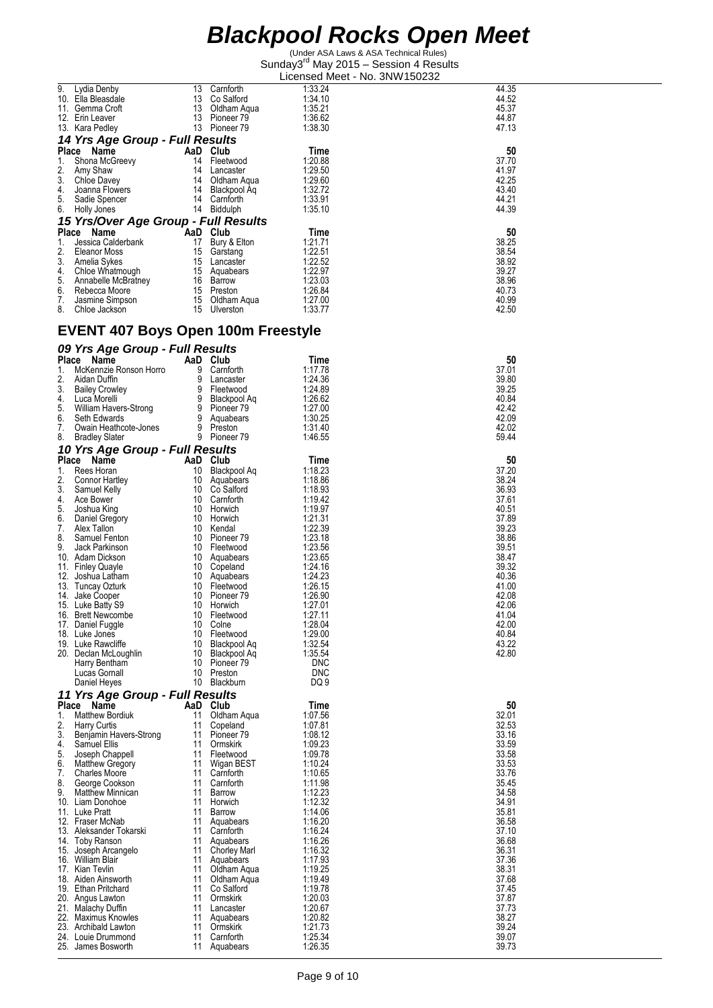| 9.           | Lydia Denby<br>10. Ella Bleasdale               | 13<br>13 | Carnforth<br>Co Salford          | 1:33.24<br>1:34.10 | 44.35<br>44.52 |
|--------------|-------------------------------------------------|----------|----------------------------------|--------------------|----------------|
|              | 11. Gemma Crott                                 | 13       | Oldham Aqua                      | 1:35.21            | 45.37          |
|              | 12. Erin Leaver<br>13. Kara Pedley              | 13       | Pioneer 79<br>13 Pioneer 79      | 1:36.62<br>1.38.30 | 44.87<br>47.13 |
|              | 14 Yrs Age Group - Full Results                 |          |                                  |                    |                |
| Place        | Name                                            |          | AaD Club                         | Time               | 50             |
| 1.<br>2.     | Shona McGreevy                                  | 14<br>14 | Fleetwood                        | 1:20.88<br>1:29.50 | 37.70<br>41.97 |
| 3.           | Amy Shaw<br>Chloe Davey                         | 14       | Lancaster<br>Oldham Aqua         | 1:29.60            | 42.25          |
| 4.           | Joanna Flowers                                  | 14       | Blackpool Aq                     | 1:32.72            | 43.40          |
| 5.<br>6.     | Sadie Spencer<br>Holly Jones                    |          | 14 Carnforth<br>14 Biddulph      | 1:33.91<br>1:35.10 | 44.21<br>44.39 |
|              | 15 Yrs/Over Age Group - Full Results            |          |                                  |                    |                |
| Place        | Name                                            |          | AaD Club                         | Time               | 50             |
| 1.<br>2.     | Jessica Calderbank<br>Eleanor Moss              | 17<br>15 | Bury & Elton<br>Garstang         | 1:21.71<br>1:22.51 | 38.25<br>38.54 |
| 3.           | Amelia Sykes                                    | - 15     | Lancaster                        | 1:22.52            | 38.92          |
| 4.           | Chloe Whatmough                                 | 15       | Aquabears                        | 1:22.97            | 39.27          |
| 5.<br>6.     | Annabelle McBratney<br>Rebecca Moore            | 16<br>15 | Barrow<br>Preston                | 1.23.03<br>1:26.84 | 38.96<br>40.73 |
| 7.           | Jasmine Simpson                                 | 15       | Oldham Aqua                      | 1:27.00            | 40.99          |
| 8.           | Chloe Jackson                                   | 15       | Ulverston                        | 1.33.77            | 42.50          |
|              | <b>EVENT 407 Boys Open 100m Freestyle</b>       |          |                                  |                    |                |
|              | 09 Yrs Age Group - Full Results                 |          |                                  |                    |                |
| Place        | Name                                            |          | AaD Club                         | Time               | 50             |
| 1.           | McKennzie Ronson Horro                          | 9        | Carnforth                        | 1:17.78            | 37.01          |
| 2.<br>3.     | Aidan Duffin<br><b>Bailey Crowley</b>           | 9<br>9   | Lancaster<br>Fleetwood           | 1:24.36<br>1:24.89 | 39.80<br>39.25 |
| 4.           | Luca Morelli                                    | 9        | Blackpool Aq                     | 1.26.62            | 40.84          |
| 5.<br>6.     | William Havers-Strong<br>Seth Edwards           | 9<br>9   | Pioneer 79<br>Aquabears          | 1:27.00<br>1:30.25 | 42.42<br>42.09 |
| 7.           | Owain Heathcote-Jones                           | 9        | Preston                          | 1.31.40            | 42.02          |
| 8.           | <b>Bradley Slater</b>                           |          | 9 Pioneer 79                     | 1.46.55            | 59.44          |
| <b>Place</b> | 10 Yrs Age Group - Full Results<br>Name         |          | AaD Club                         |                    | 50             |
| 1.           | Rees Horan                                      | 10       | Blackpool Aq                     | Time<br>1:18.23    | 37.20          |
| 2.           | Connor Hartley                                  | 10       | Aquabears                        | 1:18.86            | 38.24          |
| 3.<br>4.     | Samuel Kelly<br>Ace Bower                       | 10<br>10 | Co Salford<br>Carnforth          | 1:18.93<br>1.19.42 | 36.93<br>37.61 |
| 5.           | Joshua King                                     | 10       | Horwich                          | 1:19.97            | 40.51          |
| 6.<br>7.     | Daniel Gregory<br>Alex Tallon                   | 10<br>10 | Horwich<br>Kendal                | 1:21.31<br>1.22.39 | 37.89<br>39.23 |
| 8.           | Samuel Fenton                                   | 10       | Pioneer 79                       | 1:23.18            | 38.86          |
| 9.           | Jack Parkinson                                  | 10       | Fleetwood                        | 1:23.56            | 39.51<br>38.47 |
| 11.          | 10. Adam Dickson<br><b>Finley Quayle</b>        | 10<br>10 | Aquabears<br>Copeland            | 1.23.65<br>1:24.16 | 39.32          |
| 12.          | Joshua Latham                                   | 10       | Aquabears                        | 1:24.23            | 40.36          |
|              | 13. Tuncay Ozturk<br>14. Jake Cooper            | 10<br>10 | Fleetwood<br>Pioneer 79          | 1:26.15<br>1:26.90 | 41.00<br>42.08 |
|              | 15. Luke Batty S9                               | 10       | Horwich                          | 1:27.01            | 42.06          |
|              | 16. Brett Newcombe<br>17. Daniel Fuggle         | 10<br>10 | Fleetwood<br>Colne               | 1.27.11<br>1:28.04 | 41.04<br>42.00 |
|              | 18. Luke Jones                                  | 10       | Fleetwood                        | 1:29.00            | 40.84          |
|              | 19. Luke Rawcliffe<br>20. Declan McLoughlin     | 10<br>10 | Blackpool Aq                     | 1:32.54<br>1:35.54 | 43.22<br>42.80 |
|              | Harry Bentham                                   | 10       | Blackpool Aq<br>Pioneer 79       | <b>DNC</b>         |                |
|              | Lucas Gornall                                   | 10       | Preston                          | <b>DNC</b>         |                |
|              | Daniel Heyes<br>11 Yrs Age Group - Full Results | 10       | Blackburn                        | DQ 9               |                |
| Place        | Name                                            |          | AaD Club                         | Time               | 50             |
| 1.           | <b>Matthew Bordiuk</b>                          | 11       | Oldham Aqua                      | 1:07.56            | 32.01          |
| 2.<br>3.     | <b>Harry Curtis</b><br>Benjamin Havers-Strong   | 11<br>11 | Copeland<br>Pioneer 79           | 1:07.81<br>1:08.12 | 32.53<br>33.16 |
| 4.           | Samuel Ellis                                    | 11       | Ormskirk                         | 1:09.23            | 33.59          |
| 5.<br>6.     | Joseph Chappell<br><b>Matthew Gregory</b>       | 11<br>11 | Fleetwood<br>Wigan BEST          | 1:09.78<br>1:10.24 | 33.58<br>33.53 |
| 7.           | <b>Charles Moore</b>                            | 11       | Carnforth                        | 1:10.65            | 33.76          |
| 8.<br>9.     | George Cookson<br><b>Matthew Minnican</b>       | 11<br>11 | Carnforth<br>Barrow              | 1:11.98<br>1:12.23 | 35.45<br>34.58 |
|              | 10. Liam Donohoe                                | 11       | Horwich                          | 1:12.32            | 34.91          |
|              | 11. Luke Pratt                                  | 11       | Barrow                           | 1:14.06            | 35.81          |
|              | 12. Fraser McNab<br>13. Aleksander Tokarski     | 11<br>11 | Aquabears<br>Carnforth           | 1:16.20<br>1:16.24 | 36.58<br>37.10 |
|              | 14. Toby Ranson                                 | 11       | Aquabears                        | 1:16.26            | 36.68          |
|              | 15. Joseph Arcangelo<br>16. William Blair       | 11<br>11 | <b>Chorley Marl</b><br>Aquabears | 1:16.32<br>1:17.93 | 36.31<br>37.36 |
|              | 17. Kian Tevlin                                 | 11       | Oldham Aqua                      | 1:19.25            | 38.31          |
|              | 18. Aiden Ainsworth<br>19. Ethan Pritchard      | 11<br>11 | Oldham Aqua                      | 1:19.49<br>1:19.78 | 37.68<br>37.45 |
|              | 20. Angus Lawton                                | 11       | Co Salford<br>Ormskirk           | 1:20.03            | 37.87          |
|              | 21. Malachy Duffin                              | 11       | Lancaster                        | 1:20.67            | 37.73          |
|              | 22. Maximus Knowles<br>23. Archibald Lawton     | 11<br>11 | Aquabears<br>Ormskirk            | 1:20.82<br>1:21.73 | 38.27<br>39.24 |
|              | 24. Louie Drummond                              | 11       | Carnforth                        | 1:25.34            | 39.07          |
|              | 25. James Bosworth                              | 11       | Aquabears                        | 1:26.35            | 39.73          |